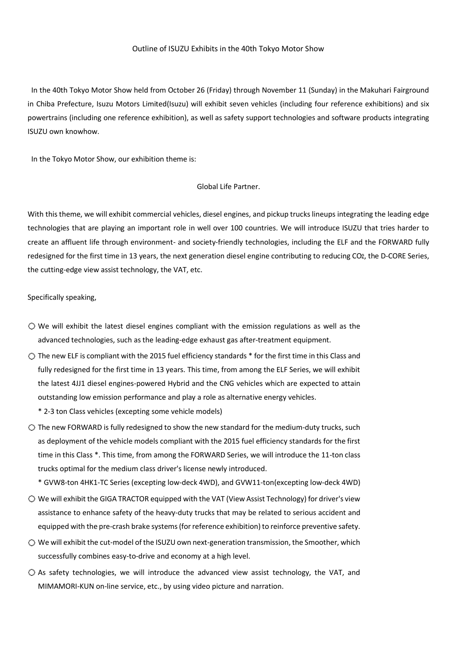## Outline of ISUZU Exhibits in the 40th Tokyo Motor Show

In the 40th Tokyo Motor Show held from October 26 (Friday) through November 11 (Sunday) in the Makuhari Fairground in Chiba Prefecture, Isuzu Motors Limited(Isuzu) will exhibit seven vehicles (including four reference exhibitions) and six powertrains (including one reference exhibition), as well as safety support technologies and software products integrating ISUZU own knowhow.

In the Tokyo Motor Show, our exhibition theme is:

## Global Life Partner.

With this theme, we will exhibit commercial vehicles, diesel engines, and pickup trucks lineups integrating the leading edge technologies that are playing an important role in well over 100 countries. We will introduce ISUZU that tries harder to create an affluent life through environment- and society-friendly technologies, including the ELF and the FORWARD fully redesigned for the first time in 13 years, the next generation diesel engine contributing to reducing CO2, the D-CORE Series, the cutting-edge view assist technology, the VAT, etc.

Specifically speaking,

- $\bigcirc$  We will exhibit the latest diesel engines compliant with the emission regulations as well as the advanced technologies, such as the leading-edge exhaust gas after-treatment equipment.
- $\circlearrowright$  The new ELF is compliant with the 2015 fuel efficiency standards  $*$  for the first time in this Class and fully redesigned for the first time in 13 years. This time, from among the ELF Series, we will exhibit the latest 4JJ1 diesel engines-powered Hybrid and the CNG vehicles which are expected to attain outstanding low emission performance and play a role as alternative energy vehicles.

\* 2-3 ton Class vehicles (excepting some vehicle models)

 $\bigcirc$  The new FORWARD is fully redesigned to show the new standard for the medium-duty trucks, such as deployment of the vehicle models compliant with the 2015 fuel efficiency standards for the first time in this Class \*. This time, from among the FORWARD Series, we will introduce the 11-ton class trucks optimal for the medium class driver's license newly introduced.

\* GVW8-ton 4HK1-TC Series (excepting low-deck 4WD), and GVW11-ton(excepting low-deck 4WD)

- We will exhibit the GIGA TRACTOR equipped with the VAT (View Assist Technology) for driver's view assistance to enhance safety of the heavy-duty trucks that may be related to serious accident and equipped with the pre-crash brake systems (for reference exhibition) to reinforce preventive safety.
- $\bigcirc$  We will exhibit the cut-model of the ISUZU own next-generation transmission, the Smoother, which successfully combines easy-to-drive and economy at a high level.
- $\bigcirc$  As safety technologies, we will introduce the advanced view assist technology, the VAT, and MIMAMORI-KUN on-line service, etc., by using video picture and narration.